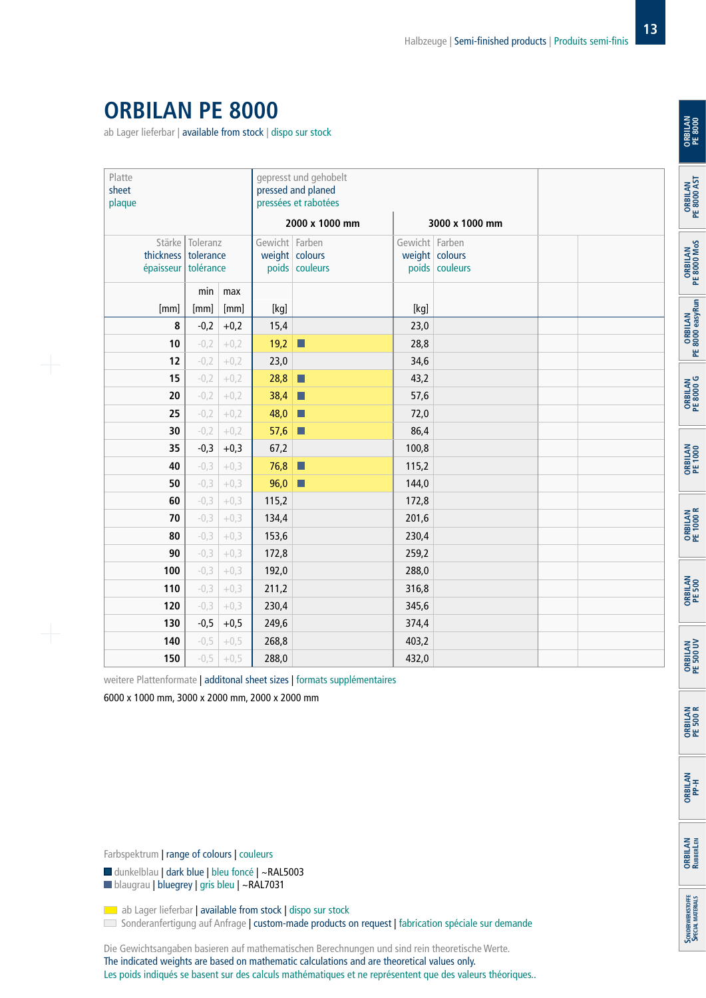## **ORBILAN PE 8000**

ab Lager lieferbar | available from stock | dispo sur stock

| Platte<br>sheet<br>plaque |      |                                                                 |        |                                                    | gepresst und gehobelt<br>pressed and planed<br>pressées et rabotées |                                  | <b>ORRII AN</b> |  |                 |
|---------------------------|------|-----------------------------------------------------------------|--------|----------------------------------------------------|---------------------------------------------------------------------|----------------------------------|-----------------|--|-----------------|
|                           |      |                                                                 |        | 2000 x 1000 mm                                     |                                                                     | 3000 x 1000 mm                   |                 |  |                 |
|                           |      | Stärke Toleranz<br>thickness   tolerance<br>épaisseur tolérance |        | Gewicht Farben<br>weight colours<br>poids couleurs | Gewicht Farben                                                      | weight colours<br>poids couleurs |                 |  |                 |
|                           |      | min                                                             | max    |                                                    |                                                                     |                                  |                 |  |                 |
|                           | [mm] | [mm]                                                            | [mm]   | [kg]                                               |                                                                     | [kg]                             |                 |  |                 |
|                           | 8    | $-0,2$                                                          | $+0,2$ | 15,4                                               |                                                                     | 23,0                             |                 |  | <b>ORRILAN</b>  |
|                           | 10   | $-0,2$                                                          | $+0,2$ | 19,2                                               | $\Box$                                                              | 28,8                             |                 |  |                 |
|                           | 12   | $-0,2$                                                          | $+0,2$ | 23,0                                               |                                                                     | 34,6                             |                 |  |                 |
|                           | 15   | $-0,2$                                                          | $+0,2$ | 28,8                                               | П                                                                   | 43,2                             |                 |  |                 |
|                           | 20   | $-0,2$                                                          | $+0,2$ | 38,4                                               | П                                                                   | 57,6                             |                 |  | <b>ORRILAN</b>  |
|                           | 25   | $-0,2$                                                          | $+0,2$ | 48,0                                               | П                                                                   | 72,0                             |                 |  |                 |
|                           | 30   | $-0,2$                                                          | $+0,2$ | 57,6                                               |                                                                     | 86,4                             |                 |  |                 |
|                           | 35   | $-0,3$                                                          | $+0,3$ | 67,2                                               |                                                                     | 100,8                            |                 |  |                 |
|                           | 40   | $-0,3$                                                          | $+0,3$ | 76,8                                               | П                                                                   | 115,2                            |                 |  | <b>ORRII AN</b> |
|                           | 50   | $-0,3$                                                          | $+0,3$ | 96,0                                               | П                                                                   | 144,0                            |                 |  |                 |
|                           | 60   | $-0,3$                                                          | $+0,3$ | 115,2                                              |                                                                     | 172,8                            |                 |  |                 |
|                           | 70   | $-0,3$                                                          | $+0,3$ | 134,4                                              |                                                                     | 201,6                            |                 |  | <b>ORRILAN</b>  |
|                           | 80   | $-0,3$                                                          | $+0,3$ | 153,6                                              |                                                                     | 230,4                            |                 |  |                 |
|                           | 90   | $-0,3$                                                          | $+0,3$ | 172,8                                              |                                                                     | 259,2                            |                 |  |                 |
|                           | 100  | $-0,3$                                                          | $+0,3$ | 192,0                                              |                                                                     | 288,0                            |                 |  |                 |
|                           | 110  | $-0,3$                                                          | $+0,3$ | 211,2                                              |                                                                     | 316,8                            |                 |  | <b>ORRII AN</b> |
|                           | 120  | $-0,3$                                                          | $+0,3$ | 230,4                                              |                                                                     | 345,6                            |                 |  |                 |
|                           | 130  | $-0,5$                                                          | $+0,5$ | 249,6                                              |                                                                     | 374,4                            |                 |  |                 |
|                           | 140  | $-0,5$                                                          | $+0,5$ | 268,8                                              |                                                                     | 403,2                            |                 |  |                 |
|                           | 150  | $-0,5$                                                          | $+0,5$ | 288,0                                              |                                                                     | 432,0                            |                 |  | <b>DRRIIAN</b>  |

weitere Plattenformate | additonal sheet sizes | formats supplémentaires

6000 x 1000 mm, 3000 x 2000 mm, 2000 x 2000 mm

Farbspektrum | range of colours | couleurs

■ dunkelblau | dark blue | bleu foncé | ~RAL5003

blaugrau | bluegrey | gris bleu | ~RAL7031

ab Lager lieferbar | available from stock | dispo sur stock

Sonderanfertigung auf Anfrage | custom-made products on request | fabrication spéciale sur demande

Die Gewichtsangaben basieren auf mathematischen Berechnungen und sind rein theoretische Werte. The indicated weights are based on mathematic calculations and are theoretical values only. Les poids indiqués se basent sur des calculs mathématiques et ne représentent que des valeurs théoriques.. **13**

**ORBILAN** 

**PE 8000 G**